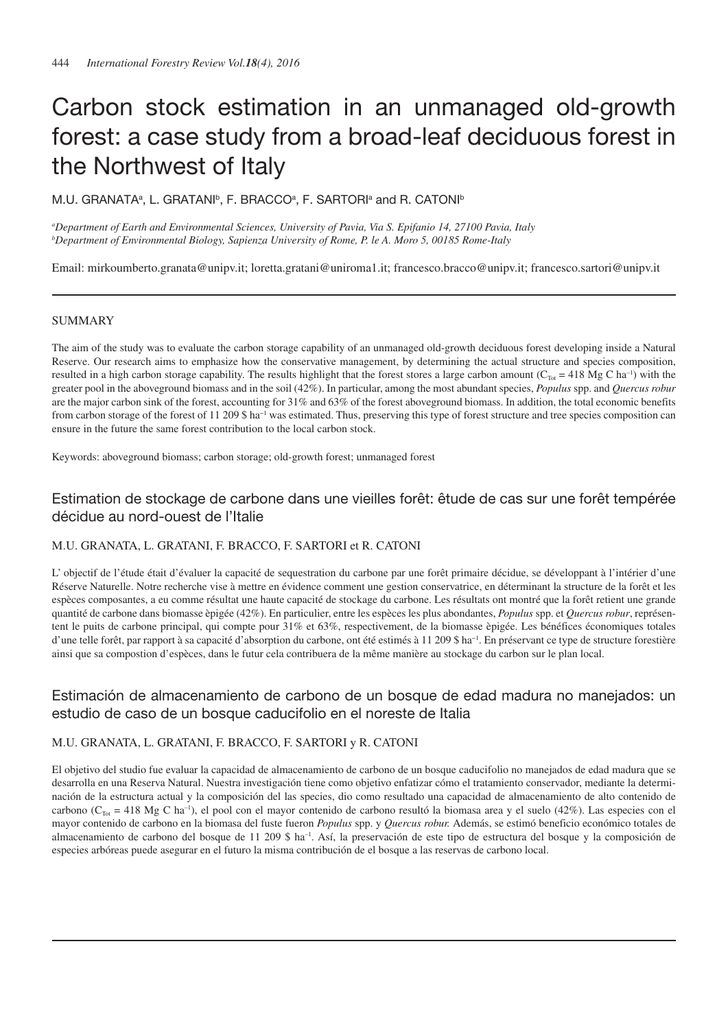# Carbon stock estimation in an unmanaged old-growth forest: a case study from a broad-leaf deciduous forest in the Northwest of Italy

M.U. GRANATA<sup>a</sup>, L. GRATANI<sup>b</sup>, F. BRACCO<sup>a</sup>, F. SARTORI<sup>a</sup> and R. CATONI<sup>b</sup>

*a Department of Earth and Environmental Sciences, University of Pavia, Via S. Epifanio 14, 27100 Pavia, Italy b Department of Environmental Biology, Sapienza University of Rome, P. le A. Moro 5, 00185 Rome-Italy*

Email: mirkoumberto.granata@unipv.it; loretta.gratani@uniroma1.it; francesco.bracco@unipv.it; francesco.sartori@unipv.it

## **SUMMARY**

The aim of the study was to evaluate the carbon storage capability of an unmanaged old-growth deciduous forest developing inside a Natural Reserve. Our research aims to emphasize how the conservative management, by determining the actual structure and species composition, resulted in a high carbon storage capability. The results highlight that the forest stores a large carbon amount ( $C_{\text{Tot}} = 418 \text{ Mg C} \text{ ha}^{-1}$ ) with the greater pool in the aboveground biomass and in the soil (42%). In particular, among the most abundant species, *Populus* spp. and *Quercus robur* are the major carbon sink of the forest, accounting for 31% and 63% of the forest aboveground biomass. In addition, the total economic benefits from carbon storage of the forest of 11 209 \$ ha<sup>-1</sup> was estimated. Thus, preserving this type of forest structure and tree species composition can ensure in the future the same forest contribution to the local carbon stock.

Keywords: aboveground biomass; carbon storage; old-growth forest; unmanaged forest

# Estimation de stockage de carbone dans une vieilles forêt: êtude de cas sur une forêt tempérée décidue au nord-ouest de l'Italie

### M.U. GRANATA, L. GRATANI, F. BRACCO, F. SARTORI et R. CATONI

L' objectif de l'étude était d'évaluer la capacité de sequestration du carbone par une forêt primaire décidue, se développant à l'intérier d'une Réserve Naturelle. Notre recherche vise à mettre en évidence comment une gestion conservatrice, en déterminant la structure de la forêt et les espèces composantes, a eu comme résultat une haute capacité de stockage du carbone. Les résultats ont montré que la forêt retient une grande quantité de carbone dans biomasse èpigée (42%). En particulier, entre les espèces les plus abondantes, *Populus* spp. et *Quercus robur*, représentent le puits de carbone principal, qui compte pour 31% et 63%, respectivement, de la biomasse èpigée. Les bénéfices économiques totales d'une telle forêt, par rapport à sa capacité d'absorption du carbone, ont été estimés à 11 209 \$ ha−1. En préservant ce type de structure forestière ainsi que sa compostion d'espèces, dans le futur cela contribuera de la même manière au stockage du carbon sur le plan local.

# Estimación de almacenamiento de carbono de un bosque de edad madura no manejados: un estudio de caso de un bosque caducifolio en el noreste de Italia

# M.U. GRANATA, L. GRATANI, F. BRACCO, F. SARTORI y R. CATONI

El objetivo del studio fue evaluar la capacidad de almacenamiento de carbono de un bosque caducifolio no manejados de edad madura que se desarrolla en una Reserva Natural. Nuestra investigación tiene como objetivo enfatizar cómo el tratamiento conservador, mediante la determinación de la estructura actual y la composición del las species, dio como resultado una capacidad de almacenamiento de alto contenido de carbono ( $C_{\text{Tot}} = 418$  Mg C ha<sup>-1</sup>), el pool con el mayor contenido de carbono resultó la biomasa area y el suelo (42%). Las especies con el mayor contenido de carbono en la biomasa del fuste fueron *Populus* spp. y *Quercus robur.* Además, se estimó beneficio económico totales de almacenamiento de carbono del bosque de 11 209 \$ ha–1. Así , la preservación de este tipo de estructura del bosque y la composición de especies arbóreas puede asegurar en el futuro la misma contribución de el bosque a las reservas de carbono local.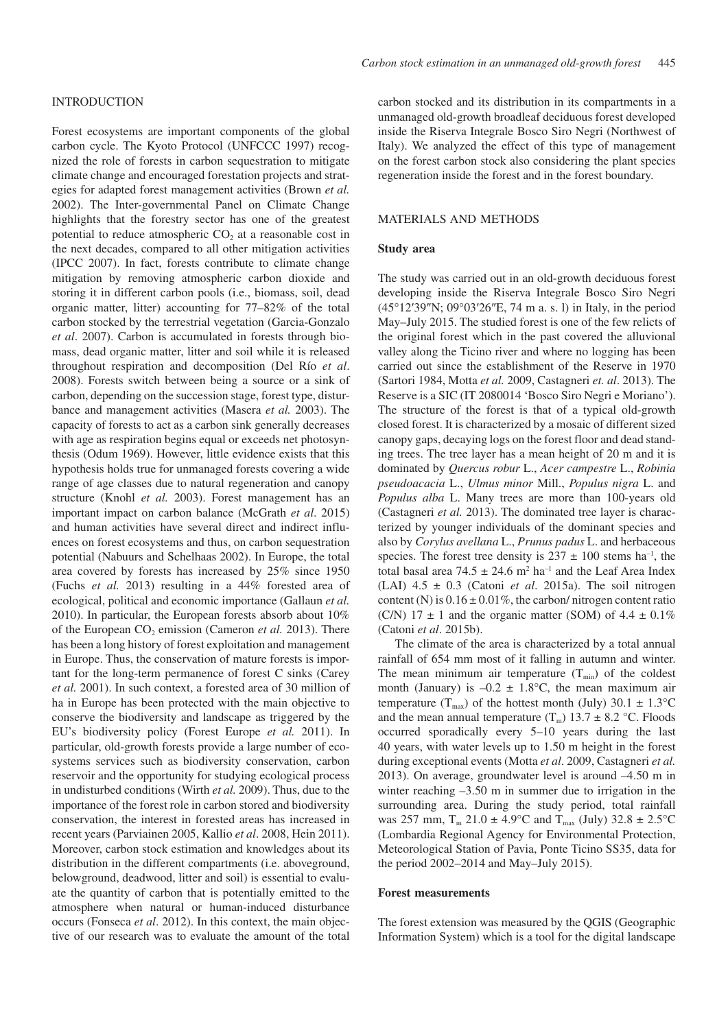#### INTRODUCTION

Forest ecosystems are important components of the global carbon cycle. The Kyoto Protocol (UNFCCC 1997) recognized the role of forests in carbon sequestration to mitigate climate change and encouraged forestation projects and strategies for adapted forest management activities (Brown *et al.* 2002). The Inter-governmental Panel on Climate Change highlights that the forestry sector has one of the greatest potential to reduce atmospheric  $CO<sub>2</sub>$  at a reasonable cost in the next decades, compared to all other mitigation activities (IPCC 2007). In fact, forests contribute to climate change mitigation by removing atmospheric carbon dioxide and storing it in different carbon pools (i.e., biomass, soil, dead organic matter, litter) accounting for 77–82% of the total carbon stocked by the terrestrial vegetation (Garcia-Gonzalo *et al*. 2007). Carbon is accumulated in forests through biomass, dead organic matter, litter and soil while it is released throughout respiration and decomposition (Del Río *et al*. 2008). Forests switch between being a source or a sink of carbon, depending on the succession stage, forest type, disturbance and management activities (Masera *et al.* 2003). The capacity of forests to act as a carbon sink generally decreases with age as respiration begins equal or exceeds net photosynthesis (Odum 1969). However, little evidence exists that this hypothesis holds true for unmanaged forests covering a wide range of age classes due to natural regeneration and canopy structure (Knohl *et al.* 2003). Forest management has an important impact on carbon balance (McGrath *et al*. 2015) and human activities have several direct and indirect influences on forest ecosystems and thus, on carbon sequestration potential (Nabuurs and Schelhaas 2002). In Europe, the total area covered by forests has increased by 25% since 1950 (Fuchs *et al.* 2013) resulting in a 44% forested area of ecological, political and economic importance (Gallaun *et al.* 2010). In particular, the European forests absorb about 10% of the European  $CO<sub>2</sub>$  emission (Cameron *et al.* 2013). There has been a long history of forest exploitation and management in Europe. Thus, the conservation of mature forests is important for the long-term permanence of forest C sinks (Carey *et al.* 2001). In such context, a forested area of 30 million of ha in Europe has been protected with the main objective to conserve the biodiversity and landscape as triggered by the EU's biodiversity policy (Forest Europe *et al.* 2011). In particular, old-growth forests provide a large number of ecosystems services such as biodiversity conservation, carbon reservoir and the opportunity for studying ecological process in undisturbed conditions (Wirth *et al.* 2009). Thus, due to the importance of the forest role in carbon stored and biodiversity conservation, the interest in forested areas has increased in recent years (Parviainen 2005, Kallio *et al*. 2008, Hein 2011). Moreover, carbon stock estimation and knowledges about its distribution in the different compartments (i.e. aboveground, belowground, deadwood, litter and soil) is essential to evaluate the quantity of carbon that is potentially emitted to the atmosphere when natural or human-induced disturbance occurs (Fonseca *et al*. 2012). In this context, the main objective of our research was to evaluate the amount of the total

carbon stocked and its distribution in its compartments in a unmanaged old-growth broadleaf deciduous forest developed inside the Riserva Integrale Bosco Siro Negri (Northwest of Italy). We analyzed the effect of this type of management on the forest carbon stock also considering the plant species regeneration inside the forest and in the forest boundary.

# MATERIALS AND METHODS

#### **Study area**

The study was carried out in an old-growth deciduous forest developing inside the Riserva Integrale Bosco Siro Negri (45°12′39″N; 09°03′26″E, 74 m a. s. l) in Italy, in the period May–July 2015. The studied forest is one of the few relicts of the original forest which in the past covered the alluvional valley along the Ticino river and where no logging has been carried out since the establishment of the Reserve in 1970 (Sartori 1984, Motta *et al.* 2009, Castagneri *et. al*. 2013). The Reserve is a SIC (IT 2080014 'Bosco Siro Negri e Moriano'). The structure of the forest is that of a typical old-growth closed forest. It is characterized by a mosaic of different sized canopy gaps, decaying logs on the forest floor and dead standing trees. The tree layer has a mean height of 20 m and it is dominated by *Quercus robur* L., *Acer campestre* L., *Robinia pseudoacacia* L., *Ulmus minor* Mill., *Populus nigra* L. and *Populus alba* L. Many trees are more than 100-years old (Castagneri *et al.* 2013). The dominated tree layer is characterized by younger individuals of the dominant species and also by *Corylus avellana* L., *Prunus padus* L. and herbaceous species. The forest tree density is  $237 \pm 100$  stems ha<sup>-1</sup>, the total basal area  $74.5 \pm 24.6$  m<sup>2</sup> ha<sup>-1</sup> and the Leaf Area Index (LAI)  $4.5 \pm 0.3$  (Catoni *et al.* 2015a). The soil nitrogen content (N) is  $0.16 \pm 0.01\%$ , the carbon/ nitrogen content ratio (C/N)  $17 \pm 1$  and the organic matter (SOM) of  $4.4 \pm 0.1\%$ (Catoni *et al*. 2015b).

The climate of the area is characterized by a total annual rainfall of 654 mm most of it falling in autumn and winter. The mean minimum air temperature  $(T_{min})$  of the coldest month (January) is  $-0.2 \pm 1.8$ °C, the mean maximum air temperature (T<sub>max</sub>) of the hottest month (July) 30.1  $\pm$  1.3°C and the mean annual temperature  $(T_m)$  13.7  $\pm$  8.2 °C. Floods occurred sporadically every 5–10 years during the last 40 years, with water levels up to 1.50 m height in the forest during exceptional events (Motta *et al*. 2009, Castagneri *et al.* 2013). On average, groundwater level is around –4.50 m in winter reaching  $-3.50$  m in summer due to irrigation in the surrounding area. During the study period, total rainfall was 257 mm,  $T_m$  21.0  $\pm$  4.9°C and  $T_{max}$  (July) 32.8  $\pm$  2.5°C (Lombardia Regional Agency for Environmental Protection, Meteorological Station of Pavia, Ponte Ticino SS35, data for the period 2002–2014 and May–July 2015).

#### **Forest measurements**

The forest extension was measured by the QGIS (Geographic Information System) which is a tool for the digital landscape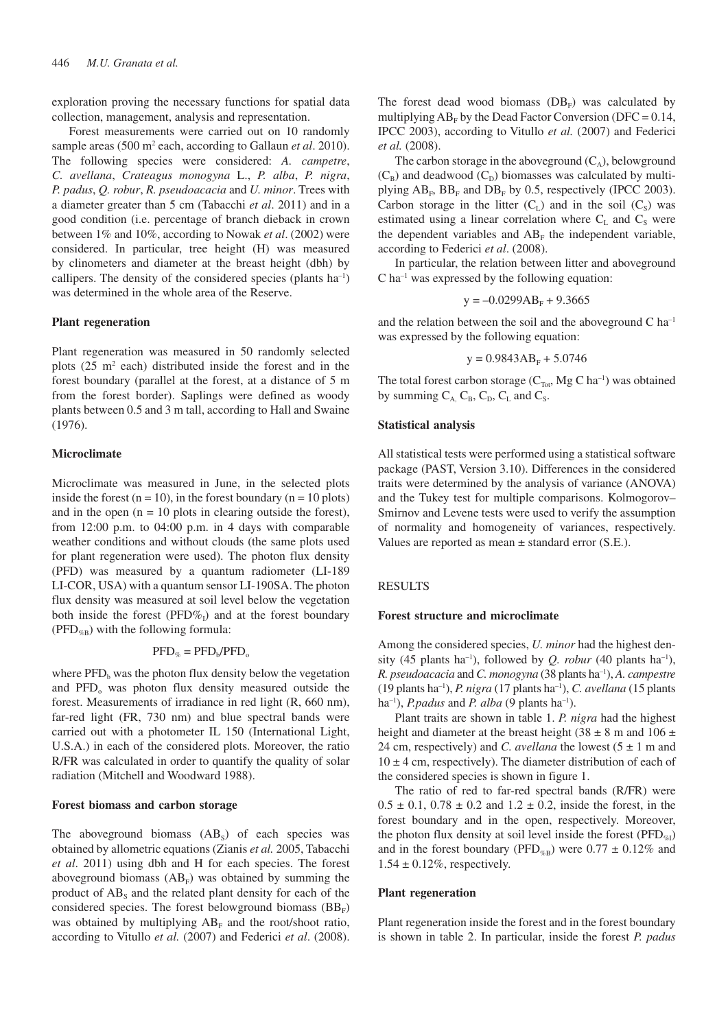exploration proving the necessary functions for spatial data collection, management, analysis and representation.

Forest measurements were carried out on 10 randomly sample areas (500 m<sup>2</sup> each, according to Gallaun *et al.* 2010). The following species were considered: *A. campetre*, *C. avellana*, *Crateagus monogyna* L., *P. alba*, *P. nigra*, *P. padus*, *Q. robur*, *R. pseudoacacia* and *U. minor*. Trees with a diameter greater than 5 cm (Tabacchi *et al*. 2011) and in a good condition (i.e. percentage of branch dieback in crown between 1% and 10%, according to Nowak *et al*. (2002) were considered. In particular, tree height (H) was measured by clinometers and diameter at the breast height (dbh) by callipers. The density of the considered species (plants ha–1) was determined in the whole area of the Reserve.

#### **Plant regeneration**

Plant regeneration was measured in 50 randomly selected plots  $(25 \text{ m}^2 \text{ each})$  distributed inside the forest and in the forest boundary (parallel at the forest, at a distance of 5 m from the forest border). Saplings were defined as woody plants between 0.5 and 3 m tall, according to Hall and Swaine (1976).

#### **Microclimate**

Microclimate was measured in June, in the selected plots inside the forest  $(n = 10)$ , in the forest boundary  $(n = 10$  plots) and in the open  $(n = 10$  plots in clearing outside the forest), from 12:00 p.m. to 04:00 p.m. in 4 days with comparable weather conditions and without clouds (the same plots used for plant regeneration were used). The photon flux density (PFD) was measured by a quantum radiometer (LI-189 LI-COR, USA) with a quantum sensor LI-190SA. The photon flux density was measured at soil level below the vegetation both inside the forest (PFD%<sub>I</sub>) and at the forest boundary (PFD<sub>%B</sub>) with the following formula:

#### $\text{PFD}_{\%} = \text{PFD}_{\text{b}} / \text{PFD}_{\text{o}}$

where  $\text{PFD}_b$  was the photon flux density below the vegetation and PFD<sub>o</sub> was photon flux density measured outside the forest. Measurements of irradiance in red light (R, 660 nm), far-red light (FR, 730 nm) and blue spectral bands were carried out with a photometer IL 150 (International Light, U.S.A.) in each of the considered plots. Moreover, the ratio R/FR was calculated in order to quantify the quality of solar radiation (Mitchell and Woodward 1988).

#### **Forest biomass and carbon storage**

The aboveground biomass  $(AB<sub>s</sub>)$  of each species was obtained by allometric equations (Zianis *et al.* 2005, Tabacchi *et al*. 2011) using dbh and H for each species. The forest aboveground biomass  $(AB_F)$  was obtained by summing the product of  $AB_s$  and the related plant density for each of the considered species. The forest belowground biomass  $(BB_F)$ was obtained by multiplying  $AB_F$  and the root/shoot ratio, according to Vitullo *et al.* (2007) and Federici *et al*. (2008).

The forest dead wood biomass  $(DB_F)$  was calculated by multiplying  $AB_F$  by the Dead Factor Conversion (DFC = 0.14, IPCC 2003), according to Vitullo *et al.* (2007) and Federici *et al.* (2008).

The carbon storage in the aboveground  $(C_A)$ , belowground  $(C_B)$  and deadwood  $(C_D)$  biomasses was calculated by multiplying  $AB_F$ ,  $BB_F$  and  $DB_F$  by 0.5, respectively (IPCC 2003). Carbon storage in the litter  $(C<sub>L</sub>)$  and in the soil  $(C<sub>S</sub>)$  was estimated using a linear correlation where  $C_L$  and  $C_S$  were the dependent variables and  $AB_F$  the independent variable, according to Federici *et al*. (2008).

In particular, the relation between litter and aboveground  $C$  ha<sup>-1</sup> was expressed by the following equation:

$$
y = -0.0299AB_F + 9.3665
$$

and the relation between the soil and the aboveground  $C$  ha<sup>-1</sup> was expressed by the following equation:

$$
y = 0.9843AB_{F} + 5.0746
$$

The total forest carbon storage  $(C_{\text{Tot}}, Mg C \text{ ha}^{-1})$  was obtained by summing  $C_A$ ,  $C_B$ ,  $C_D$ ,  $C_L$  and  $C_S$ .

#### **Statistical analysis**

All statistical tests were performed using a statistical software package (PAST, Version 3.10). Differences in the considered traits were determined by the analysis of variance (ANOVA) and the Tukey test for multiple comparisons. Kolmogorov– Smirnov and Levene tests were used to verify the assumption of normality and homogeneity of variances, respectively. Values are reported as mean  $\pm$  standard error (S.E.).

#### RESULTS

#### **Forest structure and microclimate**

Among the considered species, *U. minor* had the highest density (45 plants ha<sup>-1</sup>), followed by *Q. robur* (40 plants ha<sup>-1</sup>), *R. pseudoacacia* and *C. monogyna* (38 plants ha–1), *A. campestre* (19 plants ha–1), *P. nigra* (17 plants ha–1), *C. avellana* (15 plants ha–1), *P.padus* and *P. alba* (9 plants ha–1).

Plant traits are shown in table 1. *P. nigra* had the highest height and diameter at the breast height (38  $\pm$  8 m and 106  $\pm$ 24 cm, respectively) and *C. avellana* the lowest  $(5 \pm 1 \text{ m and})$  $10 \pm 4$  cm, respectively). The diameter distribution of each of the considered species is shown in figure 1.

The ratio of red to far-red spectral bands (R/FR) were  $0.5 \pm 0.1$ ,  $0.78 \pm 0.2$  and  $1.2 \pm 0.2$ , inside the forest, in the forest boundary and in the open, respectively. Moreover, the photon flux density at soil level inside the forest ( $\text{PFD}_{\%1}$ ) and in the forest boundary (PFD<sub>%B</sub>) were  $0.77 \pm 0.12\%$  and  $1.54 \pm 0.12\%$ , respectively.

#### **Plant regeneration**

Plant regeneration inside the forest and in the forest boundary is shown in table 2. In particular, inside the forest *P. padus*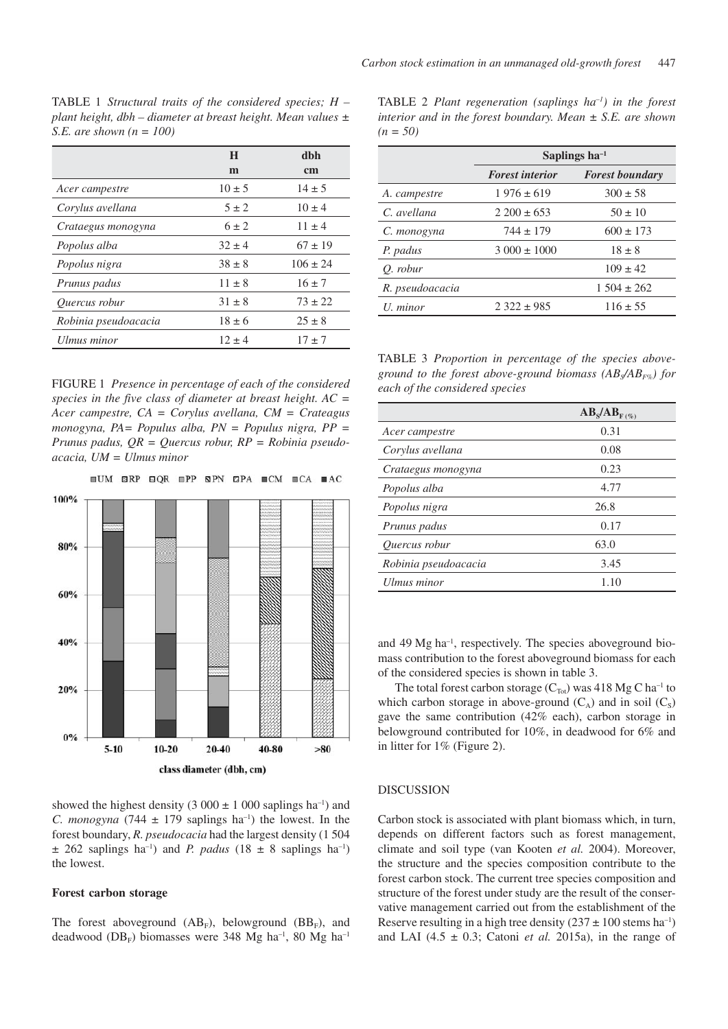TABLE 1 *Structural traits of the considered species; H – plant height, dbh – diameter at breast height. Mean values ± S.E. are shown (n = 100)*

|                      | H          | dbh           |
|----------------------|------------|---------------|
|                      | m          | <sub>cm</sub> |
| Acer campestre       | $10 \pm 5$ | $14 \pm 5$    |
| Corylus avellana     | $5 \pm 2$  | $10 \pm 4$    |
| Crataegus monogyna   | $6 \pm 2$  | $11 + 4$      |
| Popolus alba         | $32 \pm 4$ | $67 \pm 19$   |
| Popolus nigra        | $38 \pm 8$ | $106 \pm 24$  |
| Prunus padus         | $11 \pm 8$ | $16 \pm 7$    |
| Ouercus robur        | $31 \pm 8$ | $73 \pm 22$   |
| Robinia pseudoacacia | $18 \pm 6$ | $25 \pm 8$    |
| Ulmus minor          | $12 \pm 4$ | $17 \pm 7$    |

FIGURE 1 *Presence in percentage of each of the considered species in the five class of diameter at breast height. AC = Acer campestre, CA = Corylus avellana, CM = Crateagus monogyna, PA= Populus alba, PN = Populus nigra, PP = Prunus padus, QR = Quercus robur, RP = Robinia pseudoacacia, UM = Ulmus minor*



showed the highest density (3 000  $\pm$  1 000 saplings ha<sup>-1</sup>) and *C. monogyna* (744  $\pm$  179 saplings ha<sup>-1</sup>) the lowest. In the forest boundary, *R. pseudocacia* had the largest density (1 504  $\pm$  262 saplings ha<sup>-1</sup>) and *P. padus* (18  $\pm$  8 saplings ha<sup>-1</sup>) the lowest.

#### **Forest carbon storage**

The forest aboveground  $(AB_F)$ , belowground  $(BB_F)$ , and deadwood ( $DB_F$ ) biomasses were 348 Mg ha<sup>-1</sup>, 80 Mg ha<sup>-1</sup> TABLE 2 *Plant regeneration (saplings ha–1) in the forest interior and in the forest boundary. Mean ± S.E. are shown (n = 50)*

|                 | Saplings $ha^{-1}$     |                        |
|-----------------|------------------------|------------------------|
|                 | <b>Forest interior</b> | <b>Forest boundary</b> |
| A. campestre    | $1976 \pm 619$         | $300 \pm 58$           |
| C. avellana     | $2.200 \pm 653$        | $50 \pm 10$            |
| C. monogyna     | $744 \pm 179$          | $600 \pm 173$          |
| P. padus        | $3000 \pm 1000$        | $18 \pm 8$             |
| O. robur        |                        | $109 \pm 42$           |
| R. pseudoacacia |                        | $1504 \pm 262$         |
| $U.$ minor      | $2.322 \pm 985$        | $116 \pm 55$           |

TABLE 3 *Proportion in percentage of the species aboveground to the forest above-ground biomass (ABS/ABF%) for each of the considered species*

|                      | $AB_s/AB_{F(%)}$ |
|----------------------|------------------|
| Acer campestre       | 0.31             |
| Corylus avellana     | 0.08             |
| Crataegus monogyna   | 0.23             |
| Popolus alba         | 4.77             |
| Popolus nigra        | 26.8             |
| Prunus padus         | 0.17             |
| Ouercus robur        | 63.0             |
| Robinia pseudoacacia | 3.45             |
| Ulmus minor          | 1.10             |

and 49 Mg ha–1, respectively. The species aboveground biomass contribution to the forest aboveground biomass for each of the considered species is shown in table 3.

The total forest carbon storage  $(C_{\text{Tot}})$  was 418 Mg C ha<sup>-1</sup> to which carbon storage in above-ground  $(C_A)$  and in soil  $(C_S)$ gave the same contribution (42% each), carbon storage in belowground contributed for 10%, in deadwood for 6% and in litter for 1% (Figure 2).

#### DISCUSSION

Carbon stock is associated with plant biomass which, in turn, depends on different factors such as forest management, climate and soil type (van Kooten *et al.* 2004). Moreover, the structure and the species composition contribute to the forest carbon stock. The current tree species composition and structure of the forest under study are the result of the conservative management carried out from the establishment of the Reserve resulting in a high tree density  $(237 \pm 100 \text{ stems ha}^{-1})$ and LAI  $(4.5 \pm 0.3)$ ; Catoni *et al.* 2015a), in the range of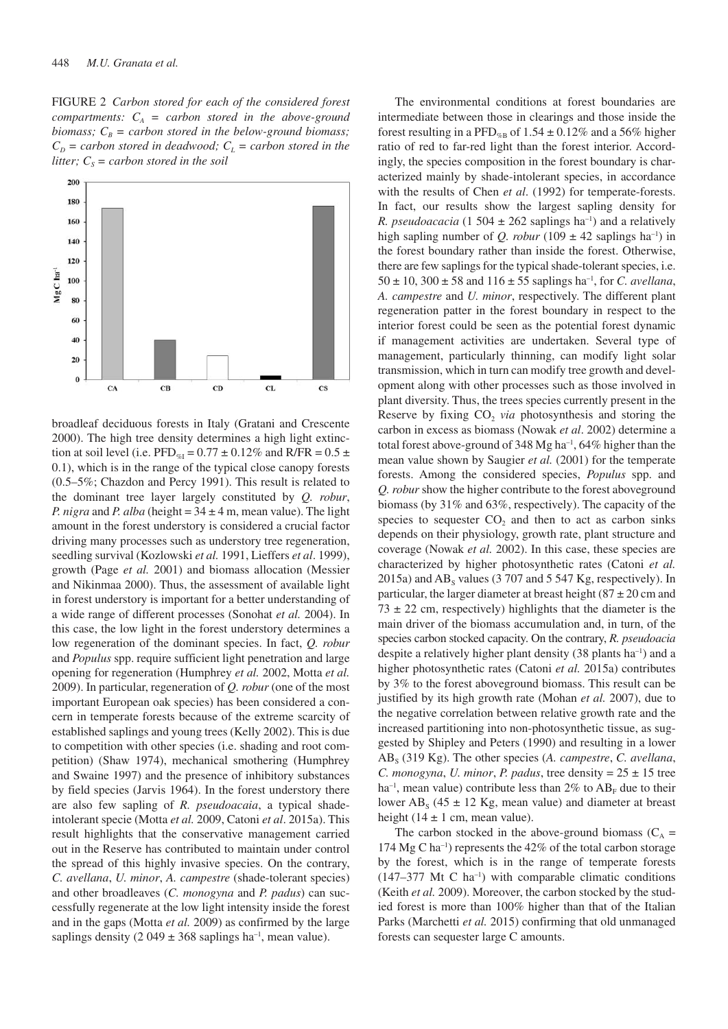FIGURE 2 *Carbon stored for each of the considered forest compartments:*  $C_A$  = *carbon stored in the above-ground biomass;*  $C_B$  = carbon stored in the below-ground biomass;  $C_D$  = carbon stored in deadwood;  $C_L$  = carbon stored in the *litter;*  $C_s =$  *carbon stored in the soil* 



broadleaf deciduous forests in Italy (Gratani and Crescente 2000). The high tree density determines a high light extinction at soil level (i.e. PFD<sub>%I</sub> =  $0.77 \pm 0.12\%$  and R/FR =  $0.5 \pm$ 0.1), which is in the range of the typical close canopy forests (0.5–5%; Chazdon and Percy 1991). This result is related to the dominant tree layer largely constituted by *Q. robur*, *P. nigra* and *P. alba* (height =  $34 \pm 4$  m, mean value). The light amount in the forest understory is considered a crucial factor driving many processes such as understory tree regeneration, seedling survival (Kozlowski *et al.* 1991, Lieffers *et al*. 1999), growth (Page *et al.* 2001) and biomass allocation (Messier and Nikinmaa 2000). Thus, the assessment of available light in forest understory is important for a better understanding of a wide range of different processes (Sonohat *et al.* 2004). In this case, the low light in the forest understory determines a low regeneration of the dominant species. In fact, *Q. robur* and *Populus* spp. require sufficient light penetration and large opening for regeneration (Humphrey *et al.* 2002, Motta *et al.* 2009). In particular, regeneration of *Q. robur* (one of the most important European oak species) has been considered a concern in temperate forests because of the extreme scarcity of established saplings and young trees (Kelly 2002). This is due to competition with other species (i.e. shading and root competition) (Shaw 1974), mechanical smothering (Humphrey and Swaine 1997) and the presence of inhibitory substances by field species (Jarvis 1964). In the forest understory there are also few sapling of *R. pseudoacaia*, a typical shadeintolerant specie (Motta *et al.* 2009, Catoni *et al*. 2015a). This result highlights that the conservative management carried out in the Reserve has contributed to maintain under control the spread of this highly invasive species. On the contrary, *C. avellana*, *U. minor*, *A. campestre* (shade-tolerant species) and other broadleaves (*C. monogyna* and *P. padus*) can successfully regenerate at the low light intensity inside the forest and in the gaps (Motta *et al.* 2009) as confirmed by the large saplings density (2 049  $\pm$  368 saplings ha<sup>-1</sup>, mean value).

The environmental conditions at forest boundaries are intermediate between those in clearings and those inside the forest resulting in a PFD<sub>%B</sub> of 1.54  $\pm$  0.12% and a 56% higher ratio of red to far-red light than the forest interior. Accordingly, the species composition in the forest boundary is characterized mainly by shade-intolerant species, in accordance with the results of Chen *et al*. (1992) for temperate-forests. In fact, our results show the largest sapling density for *R. pseudoacacia* (1 504  $\pm$  262 saplings ha<sup>-1</sup>) and a relatively high sapling number of *Q. robur* (109  $\pm$  42 saplings ha<sup>-1</sup>) in the forest boundary rather than inside the forest. Otherwise, there are few saplings for the typical shade-tolerant species, i.e.  $50 \pm 10$ ,  $300 \pm 58$  and  $116 \pm 55$  saplings ha<sup>-1</sup>, for *C. avellana*, *A. campestre* and *U. minor*, respectively. The different plant regeneration patter in the forest boundary in respect to the interior forest could be seen as the potential forest dynamic if management activities are undertaken. Several type of management, particularly thinning, can modify light solar transmission, which in turn can modify tree growth and development along with other processes such as those involved in plant diversity. Thus, the trees species currently present in the Reserve by fixing  $CO<sub>2</sub>$  *via* photosynthesis and storing the carbon in excess as biomass (Nowak *et al*. 2002) determine a total forest above-ground of 348 Mg ha<sup>-1</sup>, 64% higher than the mean value shown by Saugier *et al.* (2001) for the temperate forests. Among the considered species, *Populus* spp. and *Q. robur* show the higher contribute to the forest aboveground biomass (by 31% and 63%, respectively). The capacity of the species to sequester  $CO<sub>2</sub>$  and then to act as carbon sinks depends on their physiology, growth rate, plant structure and coverage (Nowak *et al.* 2002). In this case, these species are characterized by higher photosynthetic rates (Catoni *et al.* 2015a) and  $AB_s$  values (3 707 and 5 547 Kg, respectively). In particular, the larger diameter at breast height  $(87 \pm 20 \text{ cm and})$  $73 \pm 22$  cm, respectively) highlights that the diameter is the main driver of the biomass accumulation and, in turn, of the species carbon stocked capacity. On the contrary, *R. pseudoacia* despite a relatively higher plant density  $(38 \text{ plants ha}^{-1})$  and a higher photosynthetic rates (Catoni *et al.* 2015a) contributes by 3% to the forest aboveground biomass. This result can be justified by its high growth rate (Mohan *et al.* 2007), due to the negative correlation between relative growth rate and the increased partitioning into non-photosynthetic tissue, as suggested by Shipley and Peters (1990) and resulting in a lower ABS (319 Kg). The other species (*A. campestre*, *C. avellana*, *C. monogyna, U. minor, P. padus, tree density* =  $25 \pm 15$  tree ha<sup>-1</sup>, mean value) contribute less than  $2\%$  to  $AB_F$  due to their lower  $AB_s$  (45  $\pm$  12 Kg, mean value) and diameter at breast height ( $14 \pm 1$  cm, mean value).

The carbon stocked in the above-ground biomass  $(C_A =$ 174 Mg C ha–1) represents the 42% of the total carbon storage by the forest, which is in the range of temperate forests  $(147-377 \text{ Mt C} \text{ ha}^{-1})$  with comparable climatic conditions (Keith *et al.* 2009). Moreover, the carbon stocked by the studied forest is more than 100% higher than that of the Italian Parks (Marchetti *et al.* 2015) confirming that old unmanaged forests can sequester large C amounts.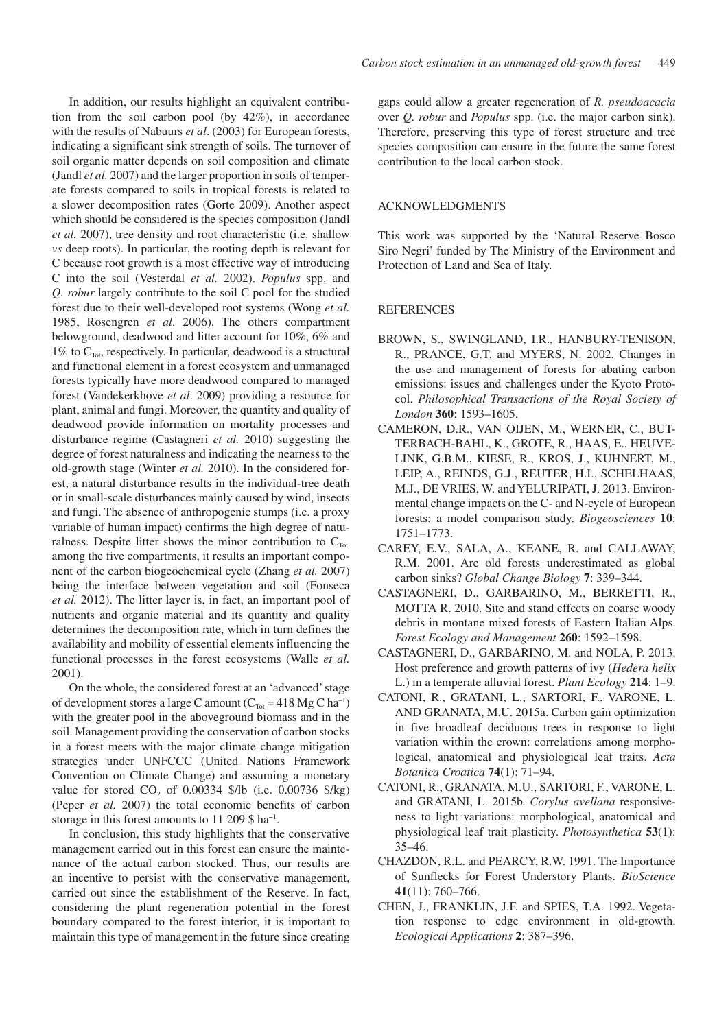In addition, our results highlight an equivalent contribution from the soil carbon pool (by 42%), in accordance with the results of Nabuurs *et al*. (2003) for European forests, indicating a significant sink strength of soils. The turnover of soil organic matter depends on soil composition and climate (Jandl *et al.* 2007) and the larger proportion in soils of temperate forests compared to soils in tropical forests is related to a slower decomposition rates (Gorte 2009). Another aspect which should be considered is the species composition (Jandl *et al.* 2007), tree density and root characteristic (i.e. shallow *vs* deep roots). In particular, the rooting depth is relevant for C because root growth is a most effective way of introducing C into the soil (Vesterdal *et al.* 2002). *Populus* spp. and *Q. robur* largely contribute to the soil C pool for the studied forest due to their well-developed root systems (Wong *et al.* 1985, Rosengren *et al*. 2006). The others compartment belowground, deadwood and litter account for 10%, 6% and 1% to  $C_{\text{Tot}}$ , respectively. In particular, deadwood is a structural and functional element in a forest ecosystem and unmanaged forests typically have more deadwood compared to managed forest (Vandekerkhove *et al*. 2009) providing a resource for plant, animal and fungi. Moreover, the quantity and quality of deadwood provide information on mortality processes and disturbance regime (Castagneri *et al.* 2010) suggesting the degree of forest naturalness and indicating the nearness to the old-growth stage (Winter *et al.* 2010). In the considered forest, a natural disturbance results in the individual-tree death or in small-scale disturbances mainly caused by wind, insects and fungi. The absence of anthropogenic stumps (i.e. a proxy variable of human impact) confirms the high degree of naturalness. Despite litter shows the minor contribution to  $C_{\text{Tot}}$ among the five compartments, it results an important component of the carbon biogeochemical cycle (Zhang *et al.* 2007) being the interface between vegetation and soil (Fonseca *et al.* 2012). The litter layer is, in fact, an important pool of nutrients and organic material and its quantity and quality determines the decomposition rate, which in turn defines the availability and mobility of essential elements influencing the functional processes in the forest ecosystems (Walle *et al.* 2001).

On the whole, the considered forest at an 'advanced' stage of development stores a large C amount  $(C_{\text{Tot}} = 418 \text{ Mg C ha}^{-1})$ with the greater pool in the aboveground biomass and in the soil. Management providing the conservation of carbon stocks in a forest meets with the major climate change mitigation strategies under UNFCCC (United Nations Framework Convention on Climate Change) and assuming a monetary value for stored  $CO_2$  of 0.00334 \$/lb (i.e. 0.00736 \$/kg) (Peper *et al.* 2007) the total economic benefits of carbon storage in this forest amounts to 11 209 \$ ha−1.

In conclusion, this study highlights that the conservative management carried out in this forest can ensure the maintenance of the actual carbon stocked. Thus, our results are an incentive to persist with the conservative management, carried out since the establishment of the Reserve. In fact, considering the plant regeneration potential in the forest boundary compared to the forest interior, it is important to maintain this type of management in the future since creating

gaps could allow a greater regeneration of *R. pseudoacacia* over *Q. robur* and *Populus* spp. (i.e. the major carbon sink). Therefore, preserving this type of forest structure and tree species composition can ensure in the future the same forest contribution to the local carbon stock.

# ACKNOWLEDGMENTS

This work was supported by the 'Natural Reserve Bosco Siro Negri' funded by The Ministry of the Environment and Protection of Land and Sea of Italy.

#### **REFERENCES**

- BROWN, S., SWINGLAND, I.R., HANBURY-TENISON, R., PRANCE, G.T. and MYERS, N. 2002. Changes in the use and management of forests for abating carbon emissions: issues and challenges under the Kyoto Protocol. *Philosophical Transactions of the Royal Society of London* **360**: 1593–1605.
- CAMERON, D.R., VAN OIJEN, M., WERNER, C., BUT-TERBACH-BAHL, K., GROTE, R., HAAS, E., HEUVE-LINK, G.B.M., KIESE, R., KROS, J., KUHNERT, M., LEIP, A., REINDS, G.J., REUTER, H.I., SCHELHAAS, M.J., DE VRIES, W. and YELURIPATI, J. 2013. Environmental change impacts on the C- and N-cycle of European forests: a model comparison study. *Biogeosciences* **10**: 1751–1773.
- CAREY, E.V., SALA, A., KEANE, R. and CALLAWAY, R.M. 2001. Are old forests underestimated as global carbon sinks? *Global Change Biology* **7**: 339–344.
- CASTAGNERI, D., GARBARINO, M., BERRETTI, R., MOTTA R. 2010. Site and stand effects on coarse woody debris in montane mixed forests of Eastern Italian Alps. *Forest Ecology and Management* **260**: 1592–1598.
- CASTAGNERI, D., GARBARINO, M. and NOLA, P. 2013. Host preference and growth patterns of ivy (*Hedera helix* L.) in a temperate alluvial forest. *Plant Ecology* **214**: 1–9.
- CATONI, R., GRATANI, L., SARTORI, F., VARONE, L. AND GRANATA, M.U. 2015a. Carbon gain optimization in five broadleaf deciduous trees in response to light variation within the crown: correlations among morphological, anatomical and physiological leaf traits. *Acta Botanica Croatica* **74**(1): 71–94.
- CATONI, R., GRANATA, M.U., SARTORI, F., VARONE, L. and GRATANI, L. 2015b. *Corylus avellana* responsiveness to light variations: morphological, anatomical and physiological leaf trait plasticity. *Photosynthetica* **53**(1): 35–46.
- CHAZDON, R.L. and PEARCY, R.W. 1991. The Importance of Sunflecks for Forest Understory Plants. *BioScience* **41**(11): 760–766.
- CHEN, J., FRANKLIN, J.F. and SPIES, T.A. 1992. Vegetation response to edge environment in old-growth. *Ecological Applications* **2**: 387–396.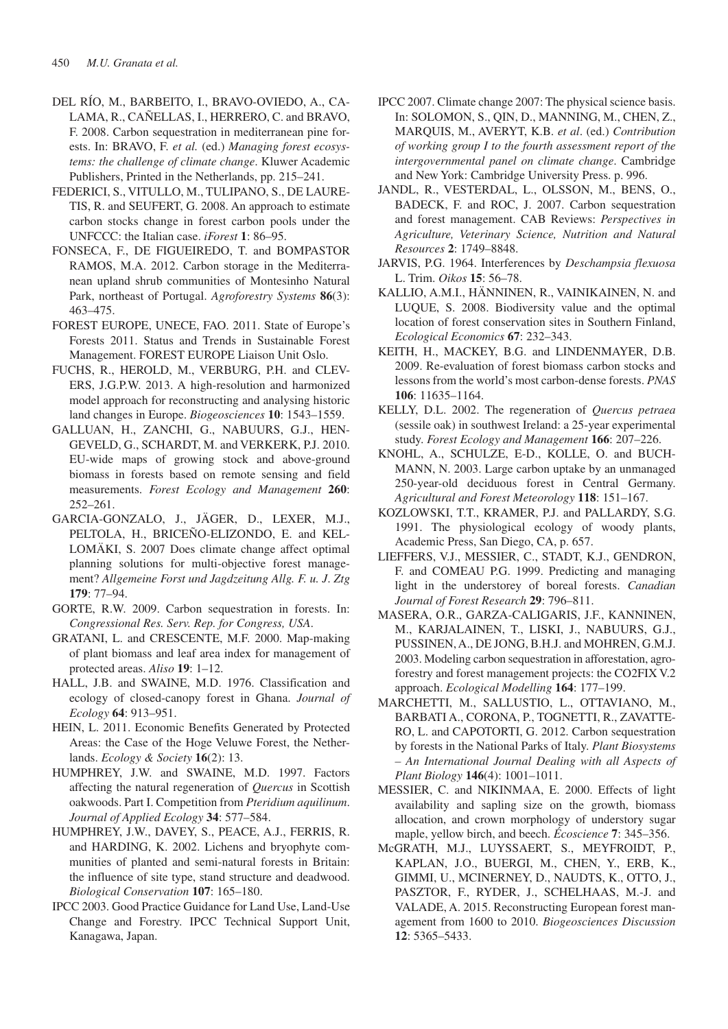- DEL RÍO, M., BARBEITO, I., BRAVO-OVIEDO, A., CA-LAMA, R., CAÑELLAS, I., HERRERO, C. and BRAVO, F. 2008. Carbon sequestration in mediterranean pine forests. In: BRAVO, F. *et al.* (ed.) *Managing forest ecosystems: the challenge of climate change*. Kluwer Academic Publishers, Printed in the Netherlands, pp. 215–241.
- FEDERICI, S., VITULLO, M., TULIPANO, S., DE LAURE-TIS, R. and SEUFERT, G. 2008. An approach to estimate carbon stocks change in forest carbon pools under the UNFCCC: the Italian case. *iForest* **1**: 86–95.
- FONSECA, F., DE FIGUEIREDO, T. and BOMPASTOR RAMOS, M.A. 2012. Carbon storage in the Mediterranean upland shrub communities of Montesinho Natural Park, northeast of Portugal. *Agroforestry Systems* **86**(3): 463–475.
- FOREST EUROPE, UNECE, FAO. 2011. State of Europe's Forests 2011. Status and Trends in Sustainable Forest Management. FOREST EUROPE Liaison Unit Oslo.
- FUCHS, R., HEROLD, M., VERBURG, P.H. and CLEV-ERS, J.G.P.W. 2013. A high-resolution and harmonized model approach for reconstructing and analysing historic land changes in Europe. *Biogeosciences* **10**: 1543–1559.
- GALLUAN, H., ZANCHI, G., NABUURS, G.J., HEN-GEVELD, G., SCHARDT, M. and VERKERK, P.J. 2010. EU-wide maps of growing stock and above-ground biomass in forests based on remote sensing and field measurements. *Forest Ecology and Management* **260**: 252–261.
- GARCIA-GONZALO, J., JÄGER, D., LEXER, M.J., PELTOLA, H., BRICEÑO-ELIZONDO, E. and KEL-LOMÄKI, S. 2007 Does climate change affect optimal planning solutions for multi-objective forest management? *Allgemeine Forst und Jagdzeitung Allg. F. u. J*. *Ztg* **179**: 77–94.
- GORTE, R.W. 2009. Carbon sequestration in forests. In: *Congressional Res. Serv. Rep. for Congress, USA*.
- GRATANI, L. and CRESCENTE, M.F. 2000. Map-making of plant biomass and leaf area index for management of protected areas. *Aliso* **19**: 1–12.
- HALL, J.B. and SWAINE, M.D. 1976. Classification and ecology of closed-canopy forest in Ghana. *Journal of Ecology* **64**: 913–951.
- HEIN, L. 2011. Economic Benefits Generated by Protected Areas: the Case of the Hoge Veluwe Forest, the Netherlands. *Ecology & Society* **16**(2): 13.
- HUMPHREY, J.W. and SWAINE, M.D. 1997. Factors affecting the natural regeneration of *Quercus* in Scottish oakwoods. Part I. Competition from *Pteridium aquilinum*. *Journal of Applied Ecology* **34**: 577–584.
- HUMPHREY, J.W., DAVEY, S., PEACE, A.J., FERRIS, R. and HARDING, K. 2002. Lichens and bryophyte communities of planted and semi-natural forests in Britain: the influence of site type, stand structure and deadwood. *Biological Conservation* **107**: 165–180.
- IPCC 2003. Good Practice Guidance for Land Use, Land-Use Change and Forestry. IPCC Technical Support Unit, Kanagawa, Japan.
- IPCC 2007. Climate change 2007: The physical science basis. In: SOLOMON, S., QIN, D., MANNING, M., CHEN, Z., MARQUIS, M., AVERYT, K.B. *et al*. (ed.) *Contribution of working group I to the fourth assessment report of the intergovernmental panel on climate change*. Cambridge and New York: Cambridge University Press. p. 996.
- JANDL, R., VESTERDAL, L., OLSSON, M., BENS, O., BADECK, F. and ROC, J. 2007. Carbon sequestration and forest management. CAB Reviews: *Perspectives in Agriculture, Veterinary Science, Nutrition and Natural Resources* **2**: 1749–8848.
- JARVIS, P.G. 1964. Interferences by *Deschampsia flexuosa* L. Trim. *Oikos* **15**: 56–78.
- KALLIO, A.M.I., HÄNNINEN, R., VAINIKAINEN, N. and LUQUE, S. 2008. Biodiversity value and the optimal location of forest conservation sites in Southern Finland, *Ecological Economics* **67**: 232–343.
- KEITH, H., MACKEY, B.G. and LINDENMAYER, D.B. 2009. Re-evaluation of forest biomass carbon stocks and lessons from the world's most carbon-dense forests. *PNAS*  **106**: 11635–1164.
- KELLY, D.L. 2002. The regeneration of *Quercus petraea* (sessile oak) in southwest Ireland: a 25-year experimental study. *Forest Ecology and Management* **166**: 207–226.
- KNOHL, A., SCHULZE, E-D., KOLLE, O. and BUCH-MANN, N. 2003. Large carbon uptake by an unmanaged 250-year-old deciduous forest in Central Germany. *Agricultural and Forest Meteorology* **118**: 151–167.
- KOZLOWSKI, T.T., KRAMER, P.J. and PALLARDY, S.G. 1991. The physiological ecology of woody plants, Academic Press, San Diego, CA, p. 657.
- LIEFFERS, V.J., MESSIER, C., STADT, K.J., GENDRON, F. and COMEAU P.G. 1999. Predicting and managing light in the understorey of boreal forests. *Canadian Journal of Forest Research* **29**: 796–811.
- MASERA, O.R., GARZA-CALIGARIS, J.F., KANNINEN, M., KARJALAINEN, T., LISKI, J., NABUURS, G.J., PUSSINEN, A., DE JONG, B.H.J. and MOHREN, G.M.J. 2003. Modeling carbon sequestration in afforestation, agroforestry and forest management projects: the CO2FIX V.2 approach. *Ecological Modelling* **164**: 177–199.
- MARCHETTI, M., SALLUSTIO, L., OTTAVIANO, M., BARBATI A., CORONA, P., TOGNETTI, R., ZAVATTE-RO, L. and CAPOTORTI, G. 2012. Carbon sequestration by forests in the National Parks of Italy. *Plant Biosystems – An International Journal Dealing with all Aspects of Plant Biology* **146**(4): 1001–1011.
- MESSIER, C. and NIKINMAA, E. 2000. Effects of light availability and sapling size on the growth, biomass allocation, and crown morphology of understory sugar maple, yellow birch, and beech. *Écoscience* **7**: 345–356.
- McGRATH, M.J., LUYSSAERT, S., MEYFROIDT, P., KAPLAN, J.O., BUERGI, M., CHEN, Y., ERB, K., GIMMI, U., MCINERNEY, D., NAUDTS, K., OTTO, J., PASZTOR, F., RYDER, J., SCHELHAAS, M.-J. and VALADE, A. 2015. Reconstructing European forest management from 1600 to 2010. *Biogeosciences Discussion* **12**: 5365–5433.